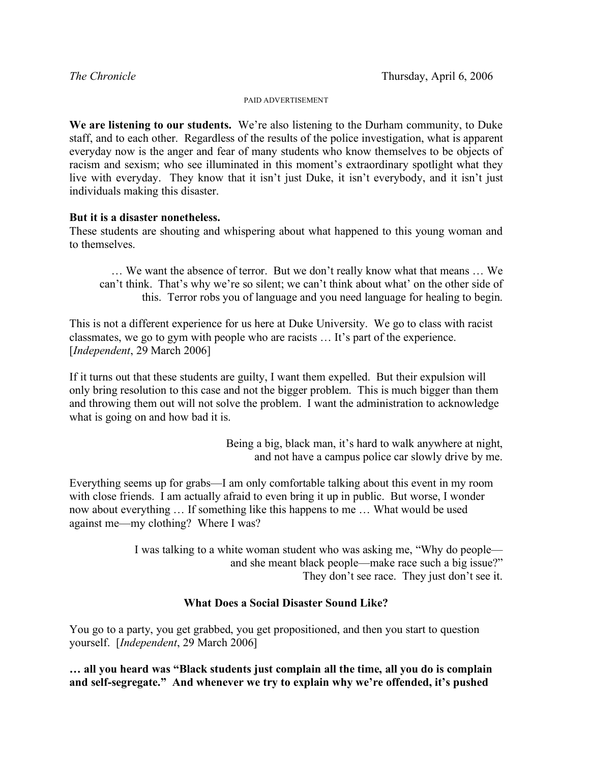## PAID ADVERTISEMENT

**We are listening to our students.** We're also listening to the Durham community, to Duke staff, and to each other. Regardless of the results of the police investigation, what is apparent everyday now is the anger and fear of many students who know themselves to be objects of racism and sexism; who see illuminated in this moment's extraordinary spotlight what they live with everyday. They know that it isn't just Duke, it isn't everybody, and it isn't just individuals making this disaster.

## **But it is a disaster nonetheless.**

These students are shouting and whispering about what happened to this young woman and to themselves.

… We want the absence of terror. But we don't really know what that means … We can't think. That's why we're so silent; we can't think about what' on the other side of this. Terror robs you of language and you need language for healing to begin.

This is not a different experience for us here at Duke University. We go to class with racist classmates, we go to gym with people who are racists … It's part of the experience. [*Independent*, 29 March 2006]

If it turns out that these students are guilty, I want them expelled. But their expulsion will only bring resolution to this case and not the bigger problem. This is much bigger than them and throwing them out will not solve the problem. I want the administration to acknowledge what is going on and how bad it is.

> Being a big, black man, it's hard to walk anywhere at night, and not have a campus police car slowly drive by me.

Everything seems up for grabs—I am only comfortable talking about this event in my room with close friends. I am actually afraid to even bring it up in public. But worse, I wonder now about everything … If something like this happens to me … What would be used against me—my clothing? Where I was?

> I was talking to a white woman student who was asking me, "Why do people and she meant black people—make race such a big issue?" They don't see race. They just don't see it.

## **What Does a Social Disaster Sound Like?**

You go to a party, you get grabbed, you get propositioned, and then you start to question yourself. [*Independent*, 29 March 2006]

**… all you heard was "Black students just complain all the time, all you do is complain and self-segregate." And whenever we try to explain why we're offended, it's pushed**